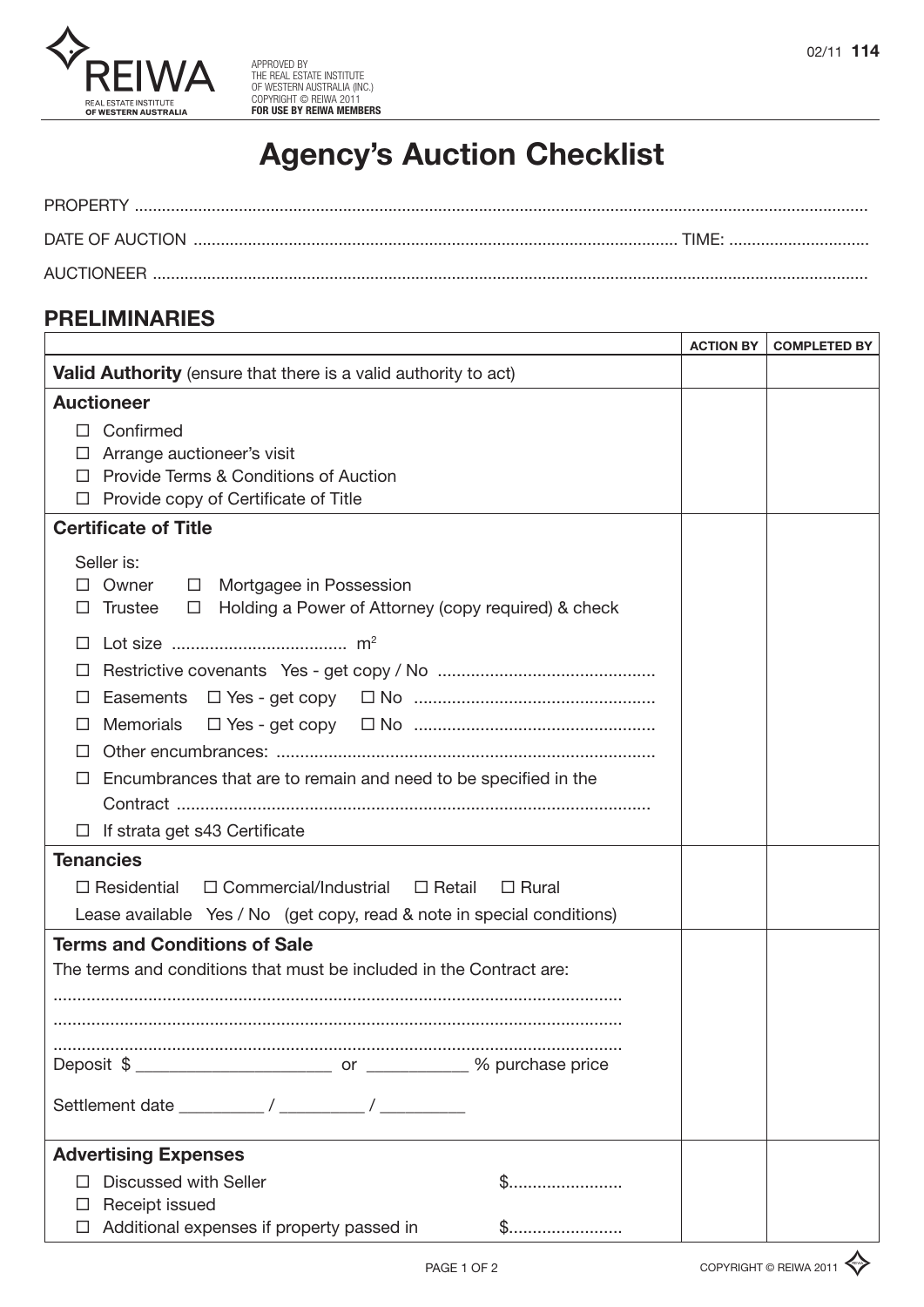

# **Agency's Auction Checklist**

## **PRELIMINARIES**

|                                                                                                                                                                                                                                                              |              | <b>ACTION BY</b> | <b>COMPLETED BY</b> |
|--------------------------------------------------------------------------------------------------------------------------------------------------------------------------------------------------------------------------------------------------------------|--------------|------------------|---------------------|
| Valid Authority (ensure that there is a valid authority to act)                                                                                                                                                                                              |              |                  |                     |
| <b>Auctioneer</b>                                                                                                                                                                                                                                            |              |                  |                     |
| Confirmed<br>П<br>Arrange auctioneer's visit<br>Provide Terms & Conditions of Auction<br>$\perp$<br>Provide copy of Certificate of Title<br>□                                                                                                                |              |                  |                     |
| <b>Certificate of Title</b>                                                                                                                                                                                                                                  |              |                  |                     |
| Seller is:<br>Owner<br>$\Box$ Mortgagee in Possession<br><b>Trustee</b><br>Holding a Power of Attorney (copy required) & check<br>$\Box$<br>LI<br>⊔<br>Easements<br><b>Memorials</b><br>Ħ<br>Encumbrances that are to remain and need to be specified in the |              |                  |                     |
| $\Box$ If strata get s43 Certificate<br><b>Tenancies</b>                                                                                                                                                                                                     |              |                  |                     |
| $\Box$ Commercial/Industrial<br>$\Box$ Residential<br>□ Retail<br>Lease available Yes / No (get copy, read & note in special conditions)                                                                                                                     | $\Box$ Rural |                  |                     |
| <b>Terms and Conditions of Sale</b><br>The terms and conditions that must be included in the Contract are:                                                                                                                                                   |              |                  |                     |
| <b>Advertising Expenses</b>                                                                                                                                                                                                                                  |              |                  |                     |
| Discussed with Seller<br>Receipt issued                                                                                                                                                                                                                      |              |                  |                     |
| Additional expenses if property passed in                                                                                                                                                                                                                    | \$           |                  |                     |